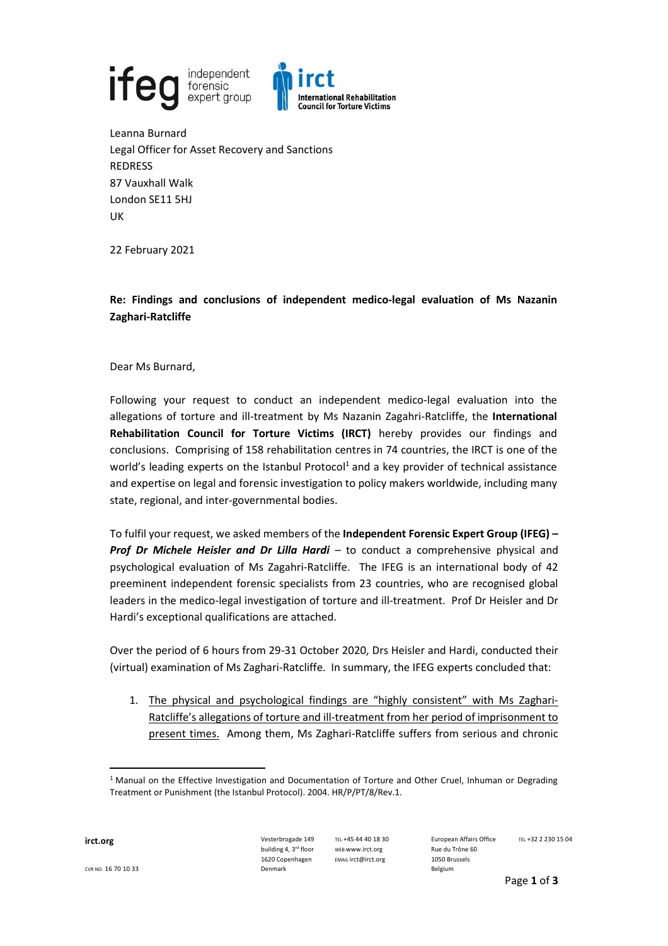

Leanna Burnard Legal Officer for Asset Recovery and Sanctions REDRESS 87 Vauxhall Walk London SE11 5HJ UK

22 February 2021

## **Re: Findings and conclusions of independent medico-legal evaluation of Ms Nazanin Zaghari-Ratcliffe**

Dear Ms Burnard,

Following your request to conduct an independent medico-legal evaluation into the allegations of torture and ill-treatment by Ms Nazanin Zagahri-Ratcliffe, the **International Rehabilitation Council for Torture Victims (IRCT)** hereby provides our findings and conclusions. Comprising of 158 rehabilitation centres in 74 countries, the IRCT is one of the world's leading experts on the Istanbul Protocol<sup>1</sup> and a key provider of technical assistance and expertise on legal and forensic investigation to policy makers worldwide, including many state, regional, and inter-governmental bodies.

To fulfil your request, we asked members of the **Independent Forensic Expert Group (IFEG) – Prof Dr Michele Heisler and Dr Lilla Hardi** – to conduct a comprehensive physical and psychological evaluation of Ms Zagahri-Ratcliffe. The IFEG is an international body of 42 preeminent independent forensic specialists from 23 countries, who are recognised global leaders in the medico-legal investigation of torture and ill-treatment. Prof Dr Heisler and Dr Hardi's exceptional qualifications are attached.

Over the period of 6 hours from 29-31 October 2020, Drs Heisler and Hardi, conducted their (virtual) examination of Ms Zaghari-Ratcliffe. In summary, the IFEG experts concluded that:

1. The physical and psychological findings are "highly consistent" with Ms Zaghari-Ratcliffe's allegations of torture and ill-treatment from her period of imprisonment to present times. Among them, Ms Zaghari-Ratcliffe suffers from serious and chronic

TEL +45 44 40 18 30 WEB www.irct.org EMAIL irct@irct.org

<sup>&</sup>lt;sup>1</sup> Manual on the Effective Investigation and Documentation of Torture and Other Cruel, Inhuman or Degrading Treatment or Punishment (the Istanbul Protocol). 2004. HR/P/PT/8/Rev.1.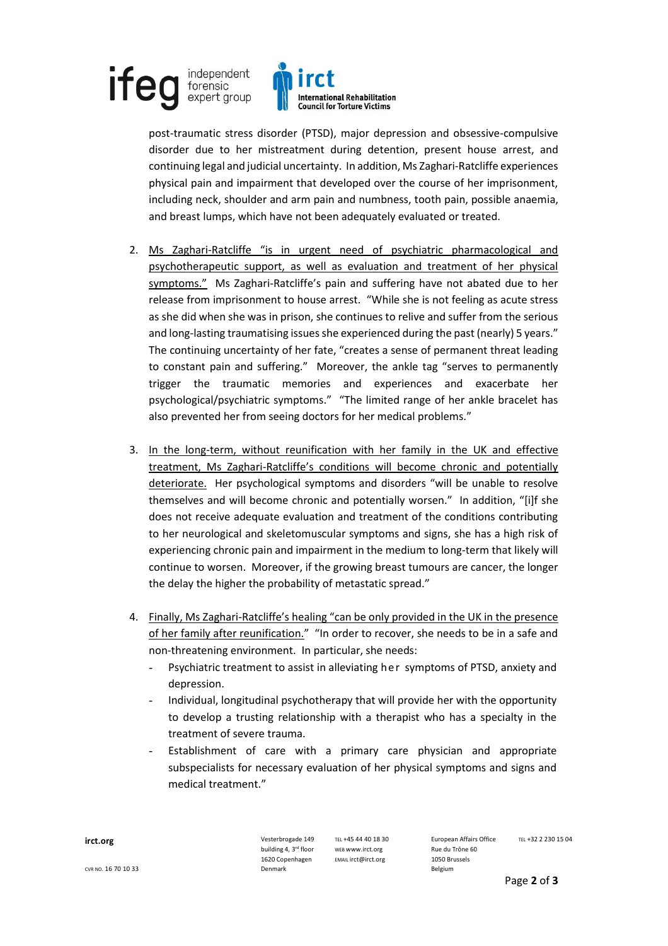## independent **ife** forensic expert group



post-traumatic stress disorder (PTSD), major depression and obsessive-compulsive disorder due to her mistreatment during detention, present house arrest, and continuing legal and judicial uncertainty. In addition, Ms Zaghari-Ratcliffe experiences physical pain and impairment that developed over the course of her imprisonment, including neck, shoulder and arm pain and numbness, tooth pain, possible anaemia, and breast lumps, which have not been adequately evaluated or treated.

- 2. Ms Zaghari-Ratcliffe "is in urgent need of psychiatric pharmacological and psychotherapeutic support, as well as evaluation and treatment of her physical symptoms.<sup>"</sup> Ms Zaghari-Ratcliffe's pain and suffering have not abated due to her release from imprisonment to house arrest. "While she is not feeling as acute stress as she did when she was in prison, she continues to relive and suffer from the serious and long-lasting traumatising issues she experienced during the past (nearly) 5 years.<sup>*n*</sup> The continuing uncertainty of her fate, "creates a sense of permanent threat leading to constant pain and suffering." Moreover, the ankle tag "serves to permanently trigger the traumatic memories and experiences and exacerbate her psychological/psychiatric symptoms.<sup>™</sup> The limited range of her ankle bracelet has also prevented her from seeing doctors for her medical problems."
- 3. In the long-term, without reunification with her family in the UK and effective treatment, Ms Zaghari-Ratcliffe's conditions will become chronic and potentially deteriorate. Her psychological symptoms and disorders "will be unable to resolve themselves and will become chronic and potentially worsen.<sup>"</sup> In addition, "[i]f she does not receive adequate evaluation and treatment of the conditions contributing to her neurological and skeletomuscular symptoms and signs, she has a high risk of experiencing chronic pain and impairment in the medium to long-term that likely will continue to worsen. Moreover, if the growing breast tumours are cancer, the longer the delay the higher the probability of metastatic spread."
- 4. Finally, Ms Zaghari-Ratcliffe's healing "can be only provided in the UK in the presence of her family after reunification.<sup>™</sup> "In order to recover, she needs to be in a safe and non-threatening environment. In particular, she needs:
	- Psychiatric treatment to assist in alleviating her symptoms of PTSD, anxiety and depression.
	- Individual, longitudinal psychotherapy that will provide her with the opportunity to develop a trusting relationship with a therapist who has a specialty in the treatment of severe trauma.
	- Establishment of care with a primary care physician and appropriate subspecialists for necessary evaluation of her physical symptoms and signs and medical treatment.<sup>"</sup>

**irct.org vesterbrogade 149** building 4, 3rd floor 1620 Copenhagen

TEL +45 44 40 18 30 WEB www.irct.org EMAIL irct@irct.org